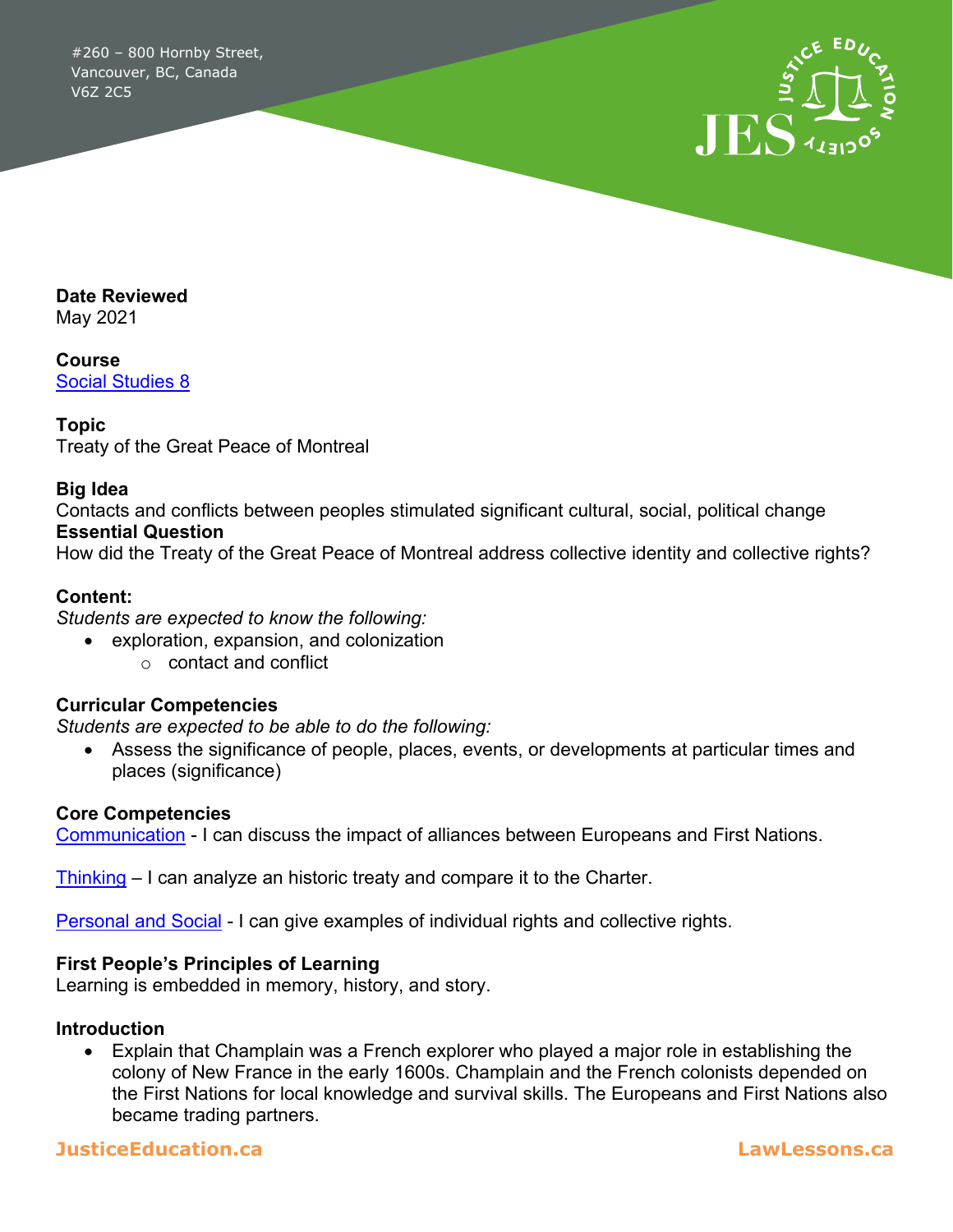#260 – 800 Hornby Street, Vancouver, BC, Canada V6Z 2C5



**Date Reviewed**

May 2021

**Course** [Social Studies 8](https://curriculum.gov.bc.ca/curriculum/social-studies/8/core)

#### **Topic**

Treaty of the Great Peace of Montreal

#### **Big Idea**

Contacts and conflicts between peoples stimulated significant cultural, social, political change **Essential Question**

How did the Treaty of the Great Peace of Montreal address collective identity and collective rights?

### **Content:**

*Students are expected to know the following:*

• exploration, expansion, and colonization o contact and conflict

### **Curricular Competencies**

*Students are expected to be able to do the following:*

• Assess the significance of people, places, events, or developments at particular times and places (significance)

#### **Core Competencies**

[Communication](https://curriculum.gov.bc.ca/competencies/communication) - I can discuss the impact of alliances between Europeans and First Nations.

[Thinking](https://curriculum.gov.bc.ca/competencies/thinking) – I can analyze an historic treaty and compare it to the Charter.

[Personal and Social](https://curriculum.gov.bc.ca/competencies/personal-and-social) - I can give examples of individual rights and collective rights.

#### **First People's Principles of Learning**

Learning is embedded in memory, history, and story.

#### **Introduction**

• Explain that Champlain was a French explorer who played a major role in establishing the colony of New France in the early 1600s. Champlain and the French colonists depended on the First Nations for local knowledge and survival skills. The Europeans and First Nations also became trading partners.

### **JusticeEducation.ca LawLessons.ca**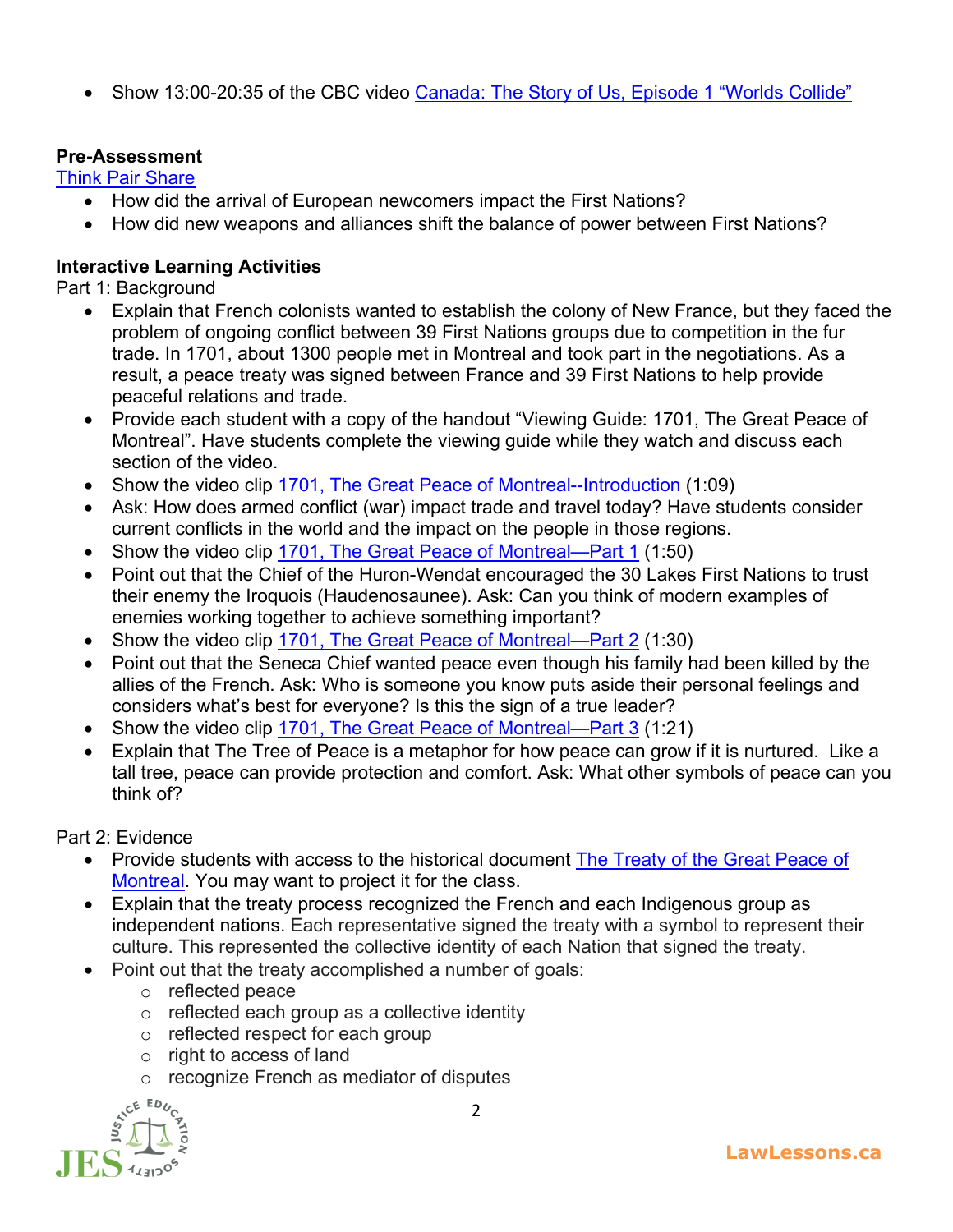• Show 13:00-20:35 of the CBC video [Canada: The Story of Us, Episode 1 "Worlds Collide"](https://www.youtube.com/watch?v=MWdOQE459vg)

# **Pre-Assessment**

[Think Pair Share](https://www.theteachertoolkit.com/index.php/tool/think-pair-share)

- How did the arrival of European newcomers impact the First Nations?
- How did new weapons and alliances shift the balance of power between First Nations?

# **Interactive Learning Activities**

Part 1: Background

- Explain that French colonists wanted to establish the colony of New France, but they faced the problem of ongoing conflict between 39 First Nations groups due to competition in the fur trade. In 1701, about 1300 people met in Montreal and took part in the negotiations. As a result, a peace treaty was signed between France and 39 First Nations to help provide peaceful relations and trade.
- Provide each student with a copy of the handout "Viewing Guide: 1701, The Great Peace of Montreal". Have students complete the viewing guide while they watch and discuss each section of the video.
- Show the video clip [1701, The Great Peace of Montreal--Introduction](https://www.youtube.com/watch?v=2Emk-rY_5Yc&t=5s) (1:09)
- Ask: How does armed conflict (war) impact trade and travel today? Have students consider current conflicts in the world and the impact on the people in those regions.
- Show the video clip [1701, The Great Peace of Montreal—Part 1](https://www.youtube.com/watch?v=5sX8xOpibH0&t=45s) (1:50)
- Point out that the Chief of the Huron-Wendat encouraged the 30 Lakes First Nations to trust their enemy the Iroquois (Haudenosaunee). Ask: Can you think of modern examples of enemies working together to achieve something important?
- Show the video clip [1701, The Great Peace of Montreal—Part 2](https://www.youtube.com/watch?v=MsTpWdzjb9s) (1:30)
- Point out that the Seneca Chief wanted peace even though his family had been killed by the allies of the French. Ask: Who is someone you know puts aside their personal feelings and considers what's best for everyone? Is this the sign of a true leader?
- Show the video clip [1701, The Great Peace of Montreal—Part 3](https://www.youtube.com/watch?v=MsTpWdzjb9s) (1:21)
- Explain that The Tree of Peace is a metaphor for how peace can grow if it is nurtured. Like a tall tree, peace can provide protection and comfort. Ask: What other symbols of peace can you think of?

Part 2: Evidence

- Provide students with access to the historical document The Treaty of the Great Peace of [Montreal.](https://ecampusontario.pressbooks.pub/chotr/chapter/historical-document-3-great-peace-of-montreal-1701/) You may want to project it for the class.
- Explain that the treaty process recognized the French and each Indigenous group as independent nations. Each representative signed the treaty with a symbol to represent their culture. This represented the collective identity of each Nation that signed the treaty.
	- Point out that the treaty accomplished a number of goals:
		- o reflected peace
		- o reflected each group as a collective identity
		- o reflected respect for each group
		- o right to access of land
		- o recognize French as mediator of disputes

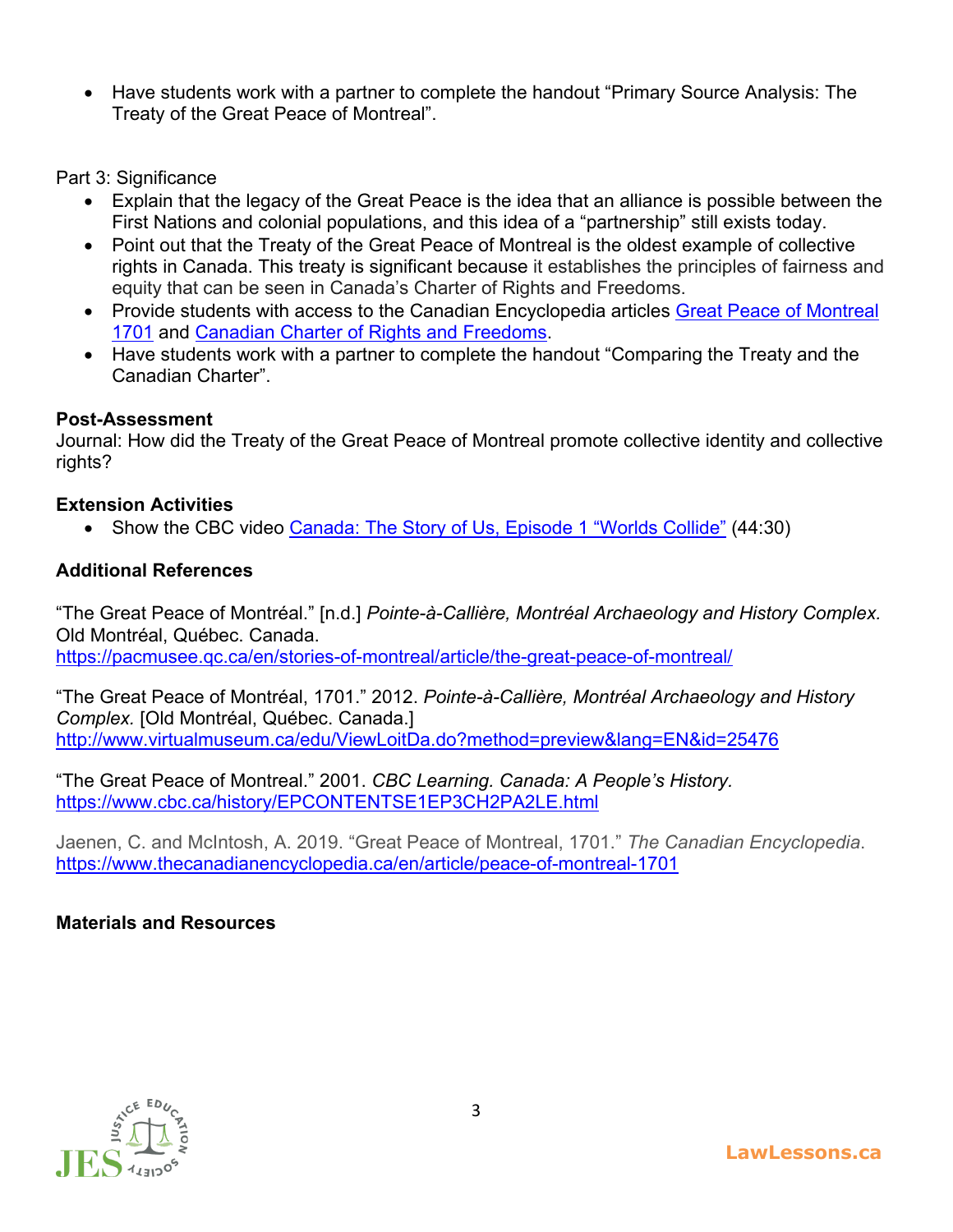• Have students work with a partner to complete the handout "Primary Source Analysis: The Treaty of the Great Peace of Montreal".

Part 3: Significance

- Explain that the legacy of the Great Peace is the idea that an alliance is possible between the First Nations and colonial populations, and this idea of a "partnership" still exists today.
- Point out that the Treaty of the Great Peace of Montreal is the oldest example of collective rights in Canada. This treaty is significant because it establishes the principles of fairness and equity that can be seen in Canada's Charter of Rights and Freedoms.
- Provide students with access to the Canadian Encyclopedia articles Great Peace of Montreal [1701](https://www.thecanadianencyclopedia.ca/en/article/peace-of-montreal-1701) and [Canadian Charter of Rights and Freedoms.](https://www.thecanadianencyclopedia.ca/en/article/canadian-charter-of-rights-and-freedoms)
- Have students work with a partner to complete the handout "Comparing the Treaty and the Canadian Charter".

# **Post-Assessment**

Journal: How did the Treaty of the Great Peace of Montreal promote collective identity and collective rights?

# **Extension Activities**

• Show the CBC video [Canada: The Story of Us, Episode 1 "Worlds Collide"](https://www.youtube.com/watch?v=MWdOQE459vg) (44:30)

# **Additional References**

"The Great Peace of Montréal." [n.d.] *Pointe-à-Callière, Montréal Archaeology and History Complex.* Old Montréal, Québec. Canada. <https://pacmusee.qc.ca/en/stories-of-montreal/article/the-great-peace-of-montreal/>

"The Great Peace of Montréal, 1701." 2012. *Pointe-à-Callière, Montréal Archaeology and History Complex.* [Old Montréal, Québec. Canada.] <http://www.virtualmuseum.ca/edu/ViewLoitDa.do?method=preview&lang=EN&id=25476>

"The Great Peace of Montreal." 2001. *CBC Learning. Canada: A People's History.* <https://www.cbc.ca/history/EPCONTENTSE1EP3CH2PA2LE.html>

Jaenen, C. and McIntosh, A. 2019. "Great Peace of Montreal, 1701." *The Canadian Encyclopedia*. <https://www.thecanadianencyclopedia.ca/en/article/peace-of-montreal-1701>

# **Materials and Resources**

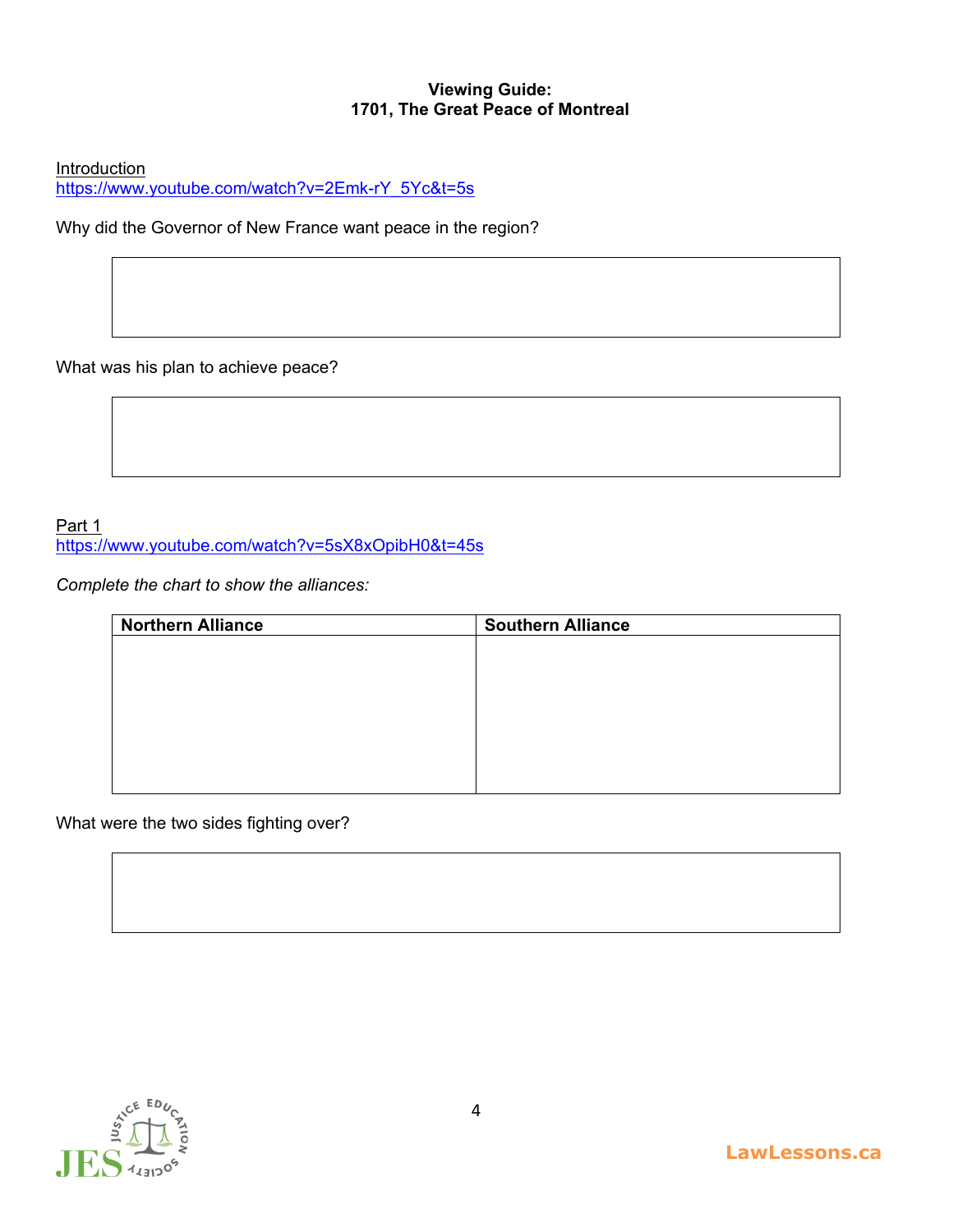### **Viewing Guide: 1701, The Great Peace of Montreal**

**Introduction** 

[https://www.youtube.com/watch?v=2Emk-rY\\_5Yc&t=5s](https://www.youtube.com/watch?v=2Emk-rY_5Yc&t=5s)

Why did the Governor of New France want peace in the region?

What was his plan to achieve peace?

### Part 1 <https://www.youtube.com/watch?v=5sX8xOpibH0&t=45s>

*Complete the chart to show the alliances:*

| <b>Northern Alliance</b> | <b>Southern Alliance</b> |
|--------------------------|--------------------------|
|                          |                          |
|                          |                          |
|                          |                          |
|                          |                          |
|                          |                          |
|                          |                          |
|                          |                          |
|                          |                          |

What were the two sides fighting over?

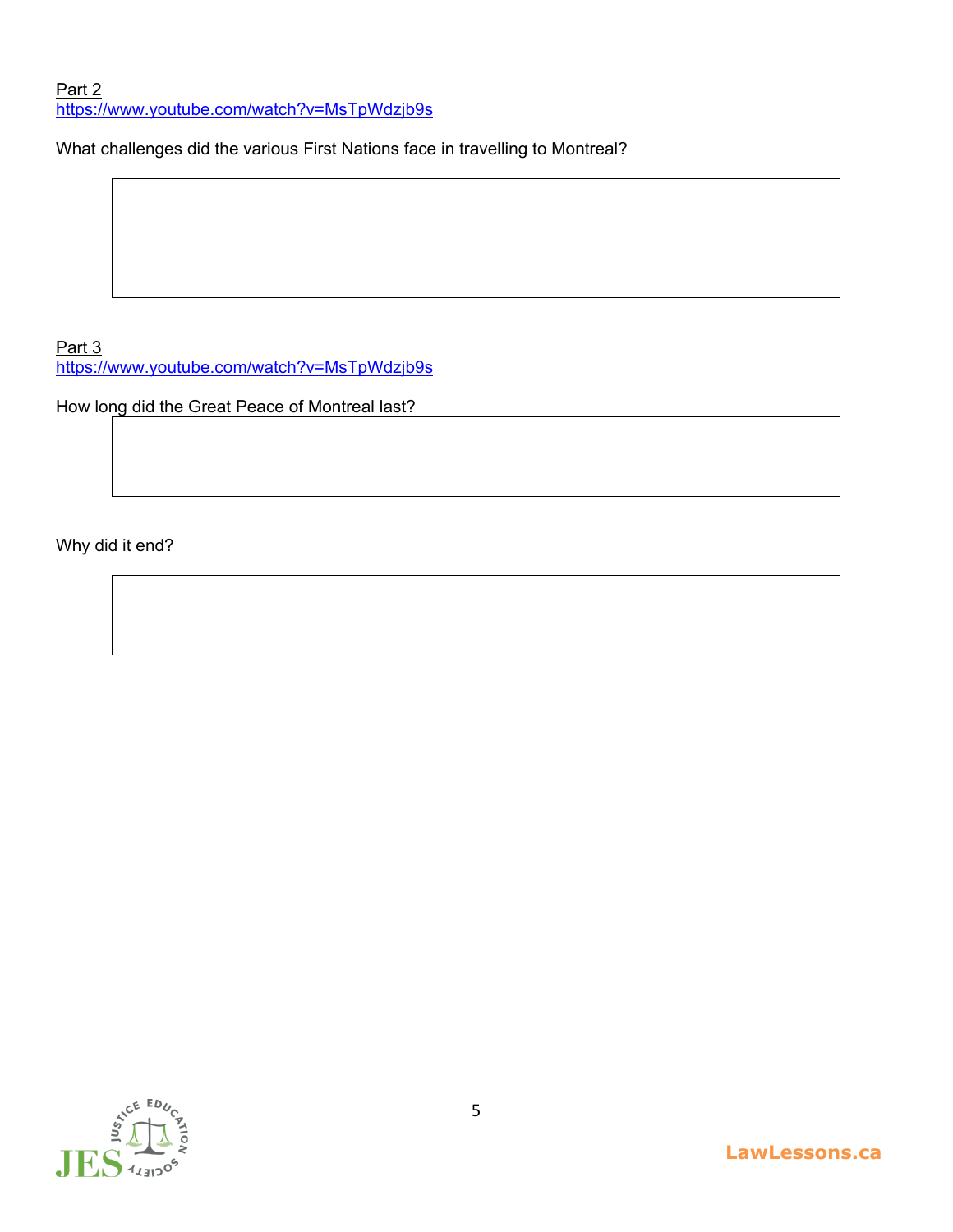Part 2 <https://www.youtube.com/watch?v=MsTpWdzjb9s>

What challenges did the various First Nations face in travelling to Montreal?

Part 3 <https://www.youtube.com/watch?v=MsTpWdzjb9s>

How long did the Great Peace of Montreal last?

Why did it end?

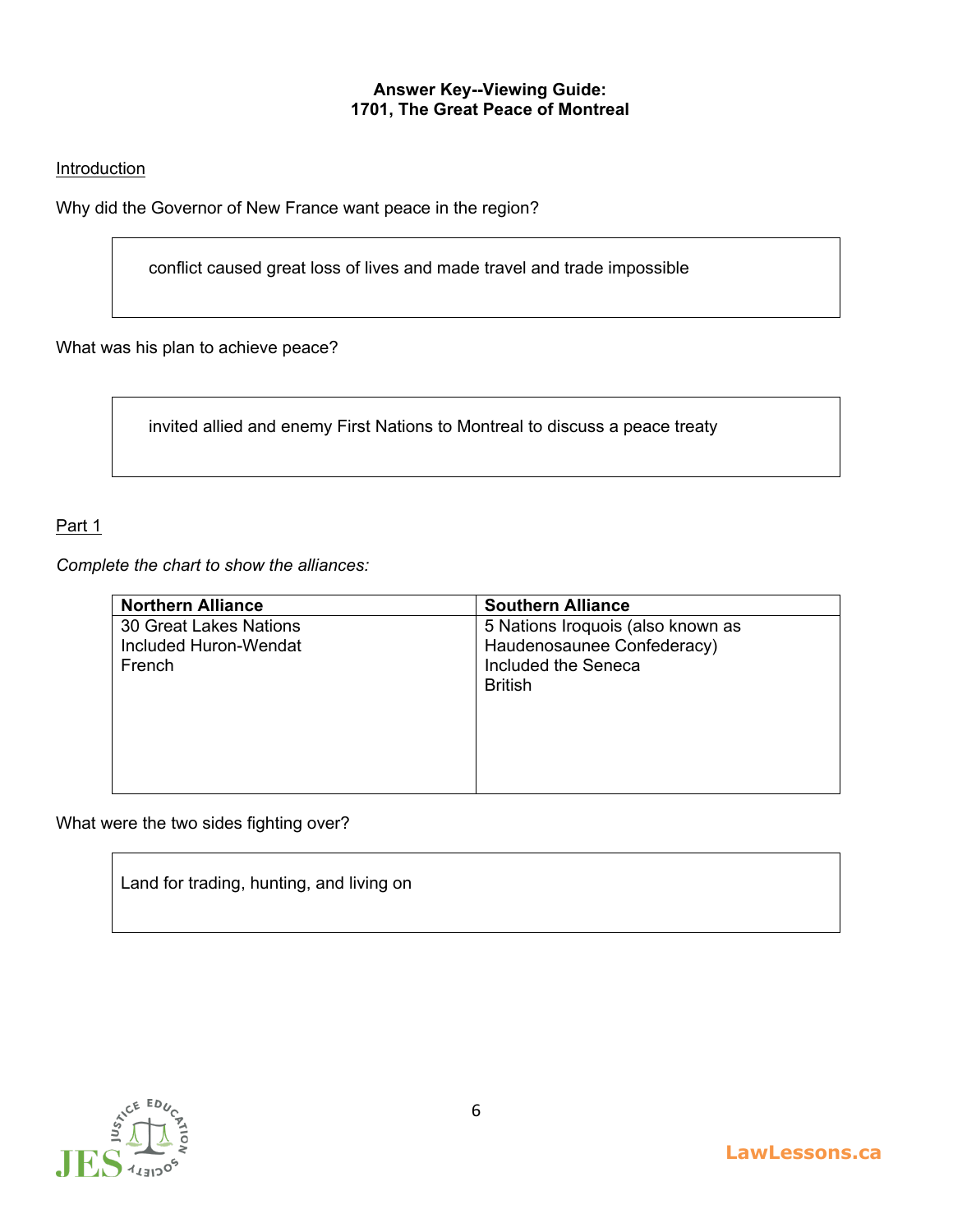#### **Answer Key--Viewing Guide: 1701, The Great Peace of Montreal**

#### **Introduction**

Why did the Governor of New France want peace in the region?

conflict caused great loss of lives and made travel and trade impossible

What was his plan to achieve peace?

invited allied and enemy First Nations to Montreal to discuss a peace treaty

### Part 1

*Complete the chart to show the alliances:*

| <b>Northern Alliance</b>      | <b>Southern Alliance</b>          |
|-------------------------------|-----------------------------------|
| <b>30 Great Lakes Nations</b> | 5 Nations Iroquois (also known as |
| Included Huron-Wendat         | Haudenosaunee Confederacy)        |
| French                        | Included the Seneca               |
|                               | <b>British</b>                    |
|                               |                                   |
|                               |                                   |
|                               |                                   |
|                               |                                   |
|                               |                                   |

What were the two sides fighting over?

Land for trading, hunting, and living on

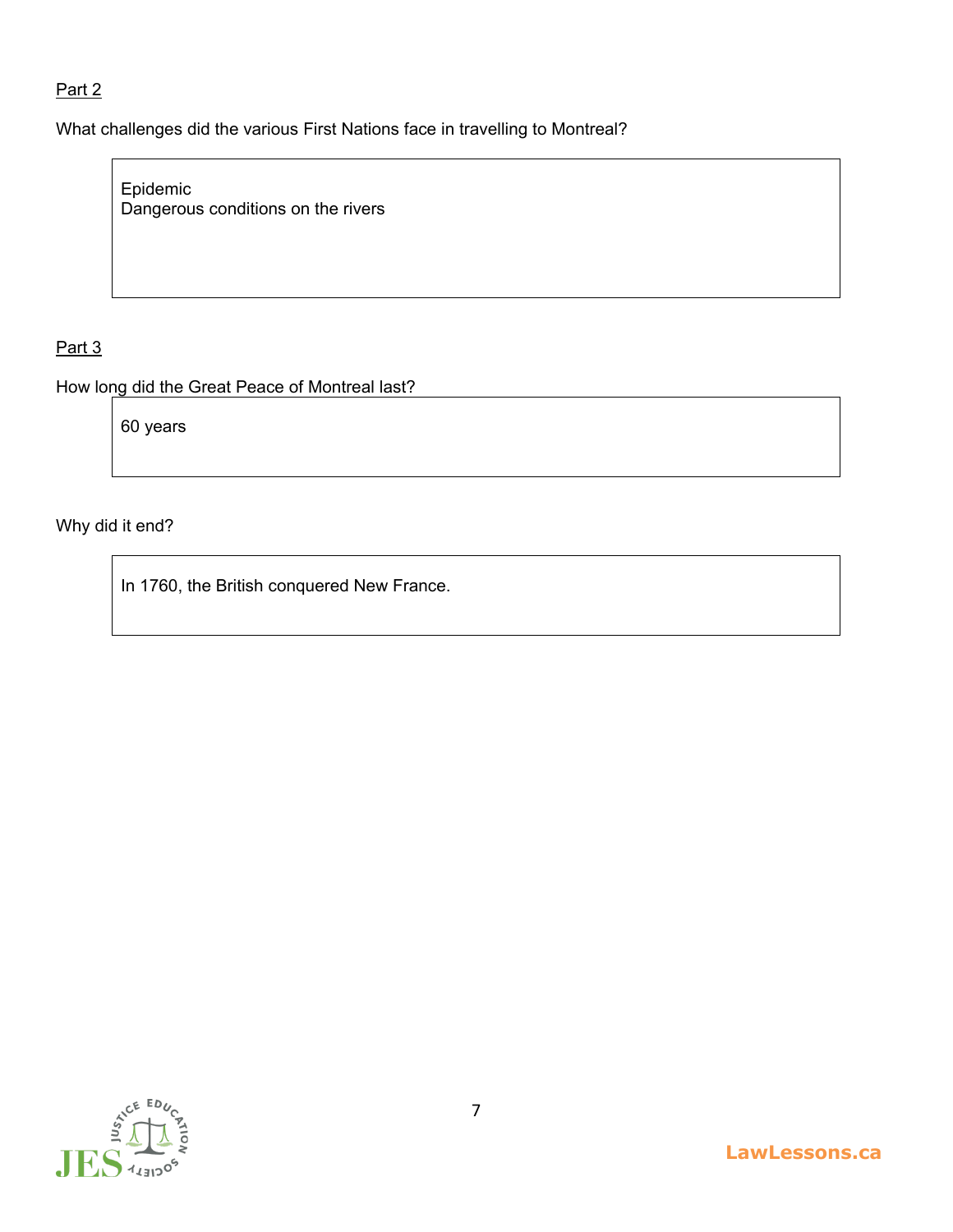# Part 2

What challenges did the various First Nations face in travelling to Montreal?

Epidemic Dangerous conditions on the rivers

# Part 3

How long did the Great Peace of Montreal last?

60 years

Why did it end?

In 1760, the British conquered New France.

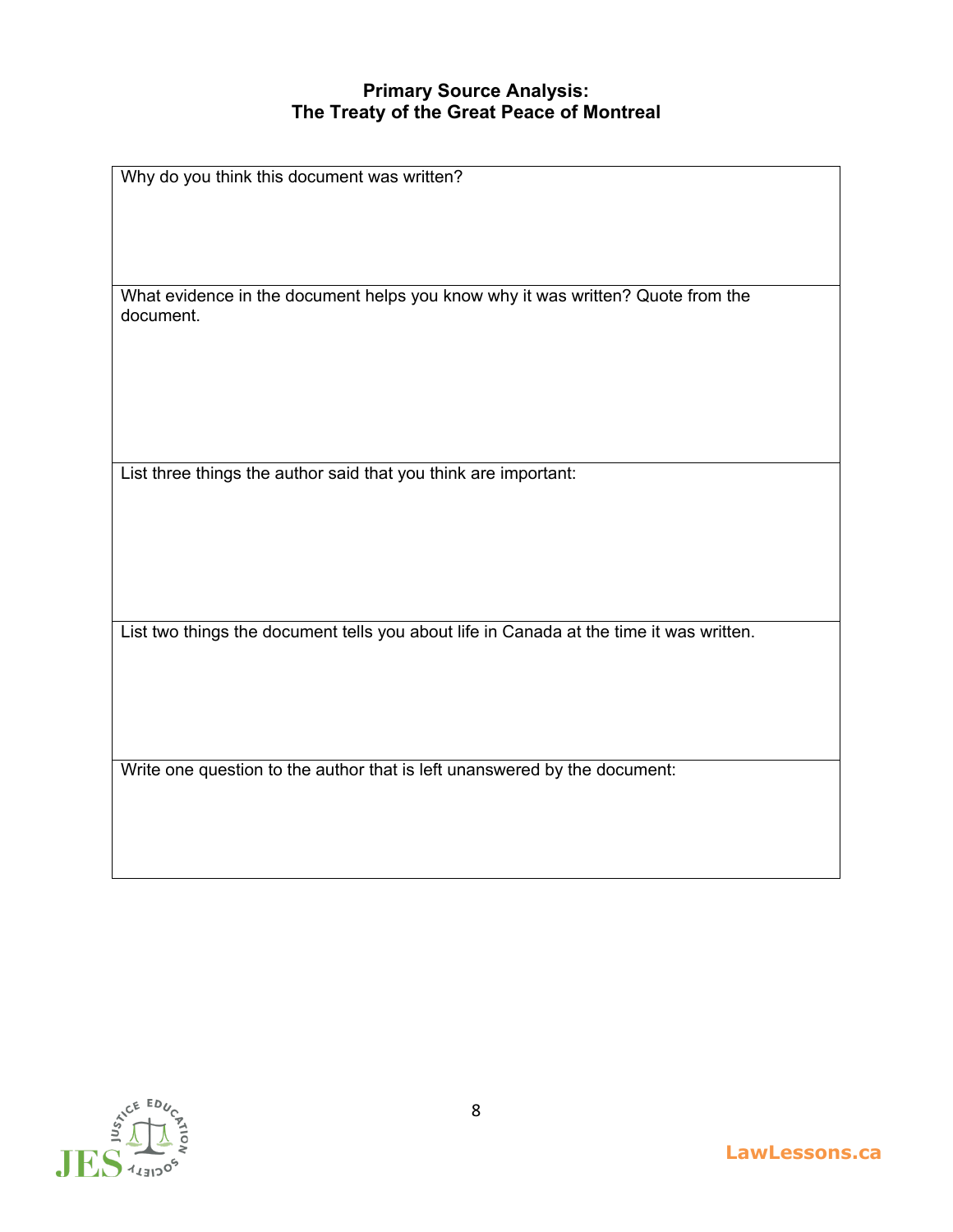## **Primary Source Analysis: The Treaty of the Great Peace of Montreal**

| Why do you think this document was written?                                                  |  |  |
|----------------------------------------------------------------------------------------------|--|--|
|                                                                                              |  |  |
|                                                                                              |  |  |
|                                                                                              |  |  |
| What evidence in the document helps you know why it was written? Quote from the<br>document. |  |  |
|                                                                                              |  |  |
|                                                                                              |  |  |
|                                                                                              |  |  |
|                                                                                              |  |  |
| List three things the author said that you think are important:                              |  |  |
|                                                                                              |  |  |
|                                                                                              |  |  |
|                                                                                              |  |  |
|                                                                                              |  |  |
|                                                                                              |  |  |
| List two things the document tells you about life in Canada at the time it was written.      |  |  |
|                                                                                              |  |  |
|                                                                                              |  |  |
|                                                                                              |  |  |
| Write one question to the author that is left unanswered by the document:                    |  |  |

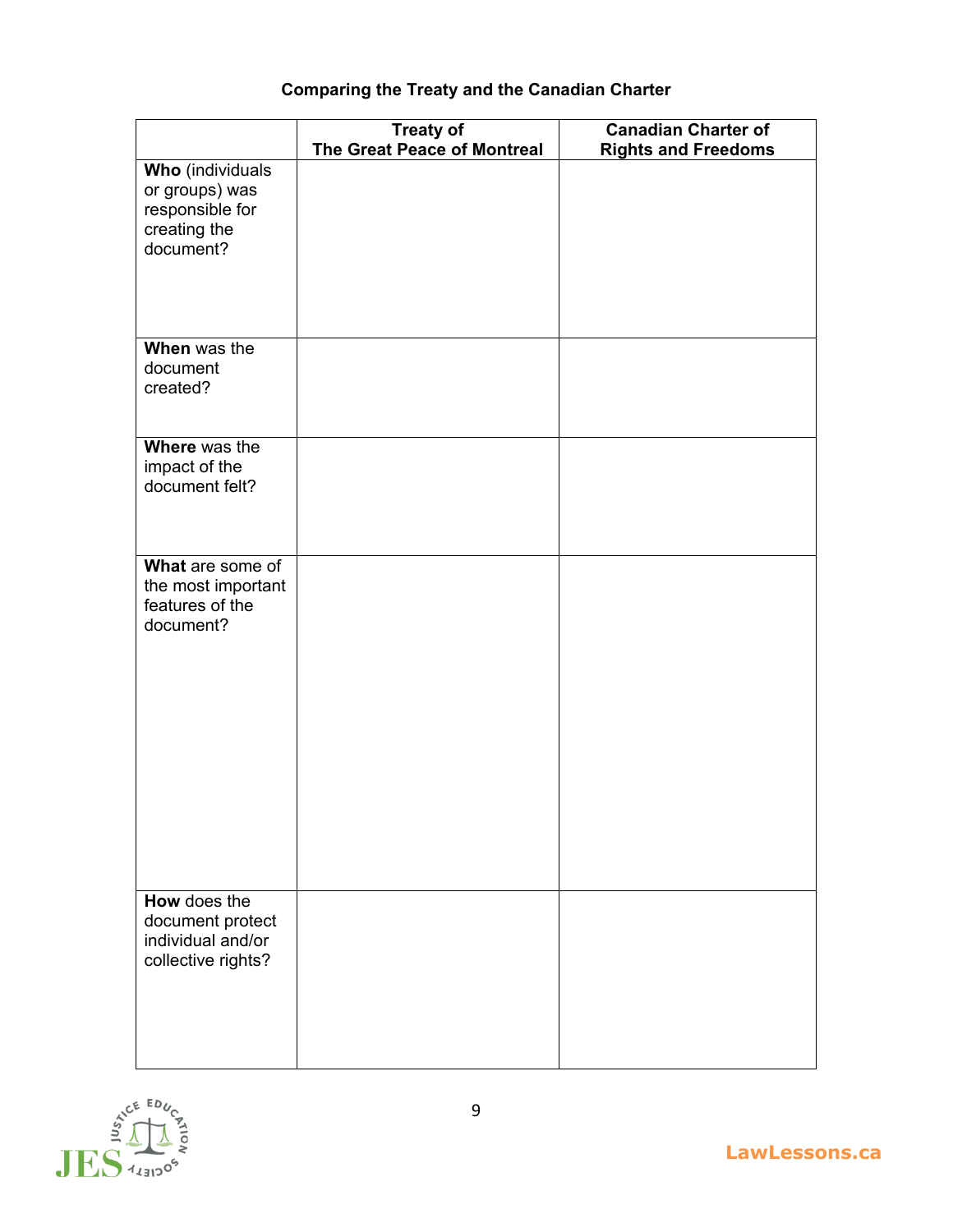# **Comparing the Treaty and the Canadian Charter**

|                                 | <b>Treaty of</b>                   | <b>Canadian Charter of</b> |
|---------------------------------|------------------------------------|----------------------------|
|                                 | <b>The Great Peace of Montreal</b> | <b>Rights and Freedoms</b> |
| <b>Who</b> (individuals         |                                    |                            |
| or groups) was                  |                                    |                            |
| responsible for                 |                                    |                            |
| creating the                    |                                    |                            |
| document?                       |                                    |                            |
|                                 |                                    |                            |
|                                 |                                    |                            |
|                                 |                                    |                            |
|                                 |                                    |                            |
| When was the                    |                                    |                            |
| document                        |                                    |                            |
| created?                        |                                    |                            |
|                                 |                                    |                            |
|                                 |                                    |                            |
| Where was the                   |                                    |                            |
| impact of the<br>document felt? |                                    |                            |
|                                 |                                    |                            |
|                                 |                                    |                            |
|                                 |                                    |                            |
| What are some of                |                                    |                            |
| the most important              |                                    |                            |
| features of the                 |                                    |                            |
| document?                       |                                    |                            |
|                                 |                                    |                            |
|                                 |                                    |                            |
|                                 |                                    |                            |
|                                 |                                    |                            |
|                                 |                                    |                            |
|                                 |                                    |                            |
|                                 |                                    |                            |
|                                 |                                    |                            |
|                                 |                                    |                            |
|                                 |                                    |                            |
|                                 |                                    |                            |
|                                 |                                    |                            |
|                                 |                                    |                            |
| How does the                    |                                    |                            |
| document protect                |                                    |                            |
| individual and/or               |                                    |                            |
| collective rights?              |                                    |                            |
|                                 |                                    |                            |
|                                 |                                    |                            |
|                                 |                                    |                            |
|                                 |                                    |                            |
|                                 |                                    |                            |